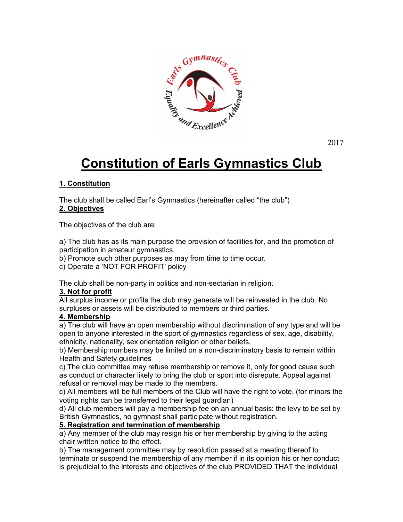

2017

# **Constitution of Earls Gymnastics Club**

## **1. Constitution**

The club shall be called Earl's Gymnastics (hereinafter called "the club") **2. Objectives**

The objectives of the club are;

a) The club has as its main purpose the provision of facilities for, and the promotion of participation in amateur gymnastics.

b) Promote such other purposes as may from time to time occur.

c) Operate a 'NOT FOR PROFIT' policy

The club shall be non-party in politics and non-sectarian in religion.

## **3. Not for profit**

All surplus income or profits the club may generate will be reinvested in the club. No surpluses or assets will be distributed to members or third parties.

## **4. Membership**

a) The club will have an open membership without discrimination of any type and will be open to anyone interested in the sport of gymnastics regardless of sex, age, disability, ethnicity, nationality, sex orientation religion or other beliefs.

b) Membership numbers may be limited on a non-discriminatory basis to remain within Health and Safety guidelines

c) The club committee may refuse membership or remove it, only for good cause such as conduct or character likely to bring the club or sport into disrepute. Appeal against refusal or removal may be made to the members.

c) All members will be full members of the Club will have the right to vote, (for minors the voting rights can be transferred to their legal guardian)

d) All club members will pay a membership fee on an annual basis: the levy to be set by British Gymnastics, no gymnast shall participate without registration.

#### **5. Registration and termination of membership**

a) Any member of the club may resign his or her membership by giving to the acting chair written notice to the effect.

b) The management committee may by resolution passed at a meeting thereof to terminate or suspend the membership of any member if in its opinion his or her conduct is prejudicial to the interests and objectives of the club PROVIDED THAT the individual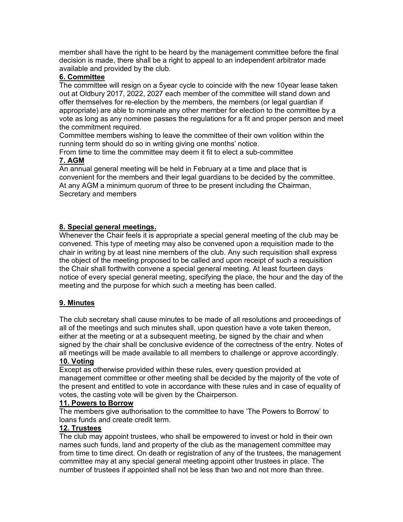member shall have the right to be heard by the management committee before the final decision is made, there shall be a right to appeal to an independent arbitrator made available and provided by the club.

## **6. Committee**

The committee will resign on a 5year cycle to coincide with the new 10year lease taken out at Oldbury 2017, 2022, 2027 each member of the committee will stand down and offer themselves for re-election by the members, the members (or legal guardian if appropriate) are able to nominate any other member for election to the committee by a vote as long as any nominee passes the regulations for a fit and proper person and meet the commitment required.

Committee members wishing to leave the committee of their own volition within the running term should do so in writing giving one months' notice.

From time to time the committee may deem it fit to elect a sub-committee **7. AGM**

An annual general meeting will be held in February at a time and place that is convenient for the members and their legal guardians to be decided by the committee. At any AGM a minimum quorum of three to be present including the Chairman, Secretary and members

## **8. Special general meetings.**

Whenever the Chair feels it is appropriate a special general meeting of the club may be convened. This type of meeting may also be convened upon a requisition made to the chair in writing by at least nine members of the club. Any such requisition shall express the object of the meeting proposed to be called and upon receipt of such a requisition the Chair shall forthwith convene a special general meeting. At least fourteen days notice of every special general meeting, specifying the place, the hour and the day of the meeting and the purpose for which such a meeting has been called.

## **9. Minutes**

The club secretary shall cause minutes to be made of all resolutions and proceedings of all of the meetings and such minutes shall, upon question have a vote taken thereon, either at the meeting or at a subsequent meeting, be signed by the chair and when signed by the chair shall be conclusive evidence of the correctness of the entry. Notes of all meetings will be made available to all members to challenge or approve accordingly.

## **10. Voting**

Except as otherwise provided within these rules, every question provided at management committee or other meeting shall be decided by the majority of the vote of the present and entitled to vote in accordance with these rules and in case of equality of votes, the casting vote will be given by the Chairperson.

## **11. Powers to Borrow**

The members give authorisation to the committee to have 'The Powers to Borrow' to loans funds and create credit term.

## **12. Trustees**

The club may appoint trustees, who shall be empowered to invest or hold in their own names such funds, land and property of the club as the management committee may from time to time direct. On death or registration of any of the trustees, the management committee may at any special general meeting appoint other trustees in place. The number of trustees if appointed shall not be less than two and not more than three.